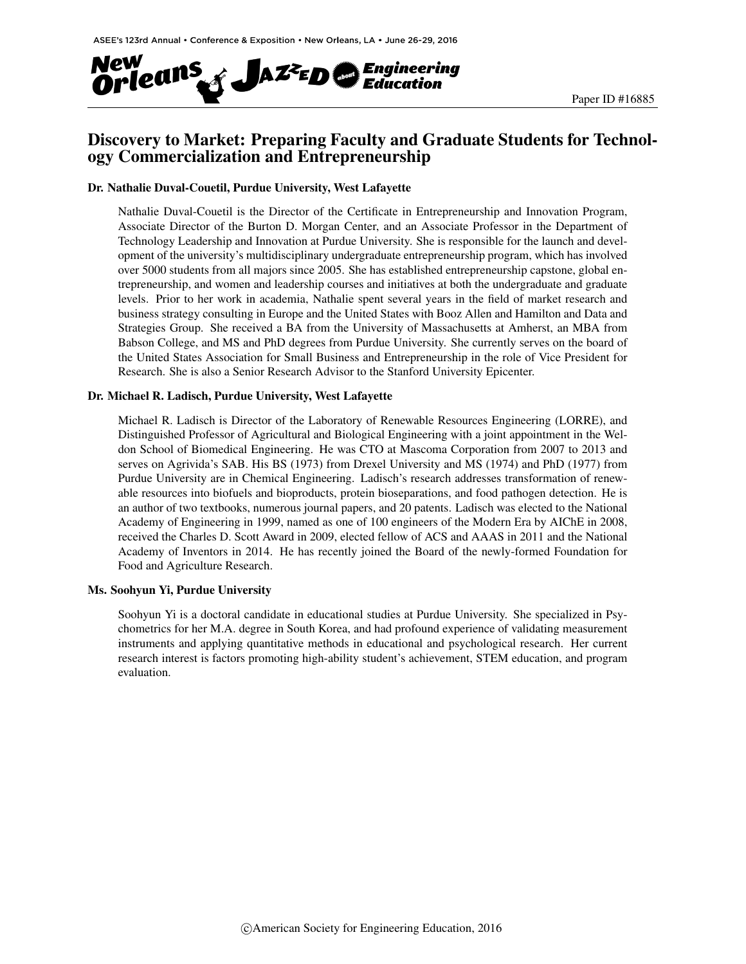

# Discovery to Market: Preparing Faculty and Graduate Students for Technology Commercialization and Entrepreneurship

#### Dr. Nathalie Duval-Couetil, Purdue University, West Lafayette

Nathalie Duval-Couetil is the Director of the Certificate in Entrepreneurship and Innovation Program, Associate Director of the Burton D. Morgan Center, and an Associate Professor in the Department of Technology Leadership and Innovation at Purdue University. She is responsible for the launch and development of the university's multidisciplinary undergraduate entrepreneurship program, which has involved over 5000 students from all majors since 2005. She has established entrepreneurship capstone, global entrepreneurship, and women and leadership courses and initiatives at both the undergraduate and graduate levels. Prior to her work in academia, Nathalie spent several years in the field of market research and business strategy consulting in Europe and the United States with Booz Allen and Hamilton and Data and Strategies Group. She received a BA from the University of Massachusetts at Amherst, an MBA from Babson College, and MS and PhD degrees from Purdue University. She currently serves on the board of the United States Association for Small Business and Entrepreneurship in the role of Vice President for Research. She is also a Senior Research Advisor to the Stanford University Epicenter.

#### Dr. Michael R. Ladisch, Purdue University, West Lafayette

Michael R. Ladisch is Director of the Laboratory of Renewable Resources Engineering (LORRE), and Distinguished Professor of Agricultural and Biological Engineering with a joint appointment in the Weldon School of Biomedical Engineering. He was CTO at Mascoma Corporation from 2007 to 2013 and serves on Agrivida's SAB. His BS (1973) from Drexel University and MS (1974) and PhD (1977) from Purdue University are in Chemical Engineering. Ladisch's research addresses transformation of renewable resources into biofuels and bioproducts, protein bioseparations, and food pathogen detection. He is an author of two textbooks, numerous journal papers, and 20 patents. Ladisch was elected to the National Academy of Engineering in 1999, named as one of 100 engineers of the Modern Era by AIChE in 2008, received the Charles D. Scott Award in 2009, elected fellow of ACS and AAAS in 2011 and the National Academy of Inventors in 2014. He has recently joined the Board of the newly-formed Foundation for Food and Agriculture Research.

#### Ms. Soohyun Yi, Purdue University

Soohyun Yi is a doctoral candidate in educational studies at Purdue University. She specialized in Psychometrics for her M.A. degree in South Korea, and had profound experience of validating measurement instruments and applying quantitative methods in educational and psychological research. Her current research interest is factors promoting high-ability student's achievement, STEM education, and program evaluation.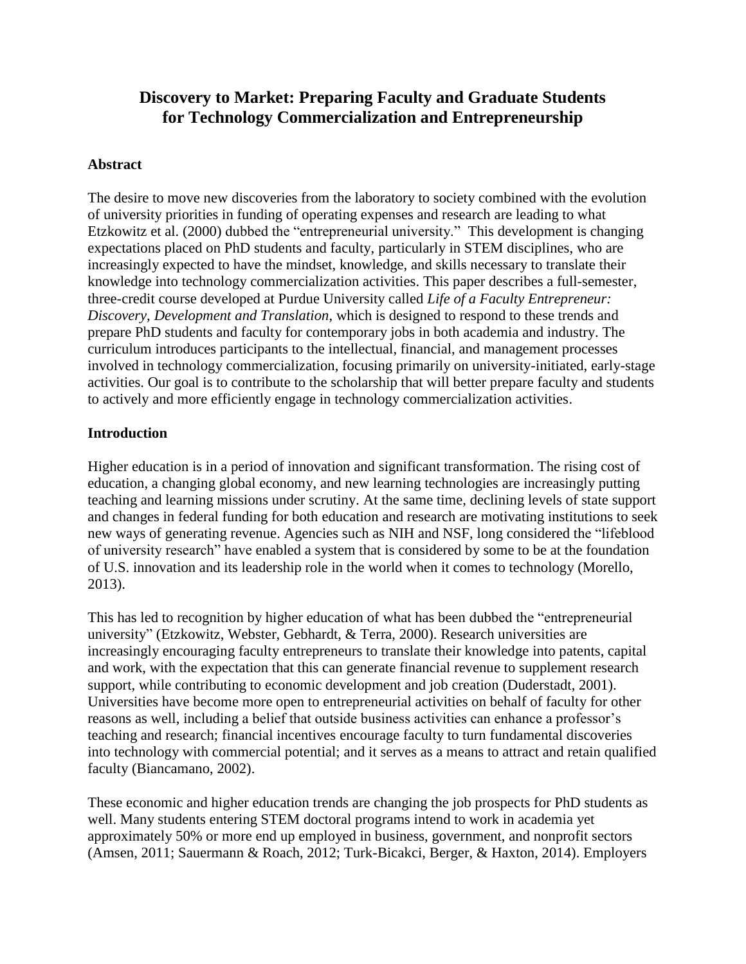# **Discovery to Market: Preparing Faculty and Graduate Students for Technology Commercialization and Entrepreneurship**

### **Abstract**

The desire to move new discoveries from the laboratory to society combined with the evolution of university priorities in funding of operating expenses and research are leading to what Etzkowitz et al. (2000) dubbed the "entrepreneurial university." This development is changing expectations placed on PhD students and faculty, particularly in STEM disciplines, who are increasingly expected to have the mindset, knowledge, and skills necessary to translate their knowledge into technology commercialization activities. This paper describes a full-semester, three-credit course developed at Purdue University called *Life of a Faculty Entrepreneur: Discovery, Development and Translation*, which is designed to respond to these trends and prepare PhD students and faculty for contemporary jobs in both academia and industry. The curriculum introduces participants to the intellectual, financial, and management processes involved in technology commercialization, focusing primarily on university-initiated, early-stage activities. Our goal is to contribute to the scholarship that will better prepare faculty and students to actively and more efficiently engage in technology commercialization activities.

### **Introduction**

Higher education is in a period of innovation and significant transformation. The rising cost of education, a changing global economy, and new learning technologies are increasingly putting teaching and learning missions under scrutiny. At the same time, declining levels of state support and changes in federal funding for both education and research are motivating institutions to seek new ways of generating revenue. Agencies such as NIH and NSF, long considered the "lifeblood of university research" have enabled a system that is considered by some to be at the foundation of U.S. innovation and its leadership role in the world when it comes to technology (Morello, 2013).

This has led to recognition by higher education of what has been dubbed the "entrepreneurial university" (Etzkowitz, Webster, Gebhardt, & Terra, 2000). Research universities are increasingly encouraging faculty entrepreneurs to translate their knowledge into patents, capital and work, with the expectation that this can generate financial revenue to supplement research support, while contributing to economic development and job creation (Duderstadt, 2001). Universities have become more open to entrepreneurial activities on behalf of faculty for other reasons as well, including a belief that outside business activities can enhance a professor's teaching and research; financial incentives encourage faculty to turn fundamental discoveries into technology with commercial potential; and it serves as a means to attract and retain qualified faculty (Biancamano, 2002).

These economic and higher education trends are changing the job prospects for PhD students as well. Many students entering STEM doctoral programs intend to work in academia yet approximately 50% or more end up employed in business, government, and nonprofit sectors (Amsen, 2011; Sauermann & Roach, 2012; Turk-Bicakci, Berger, & Haxton, 2014). Employers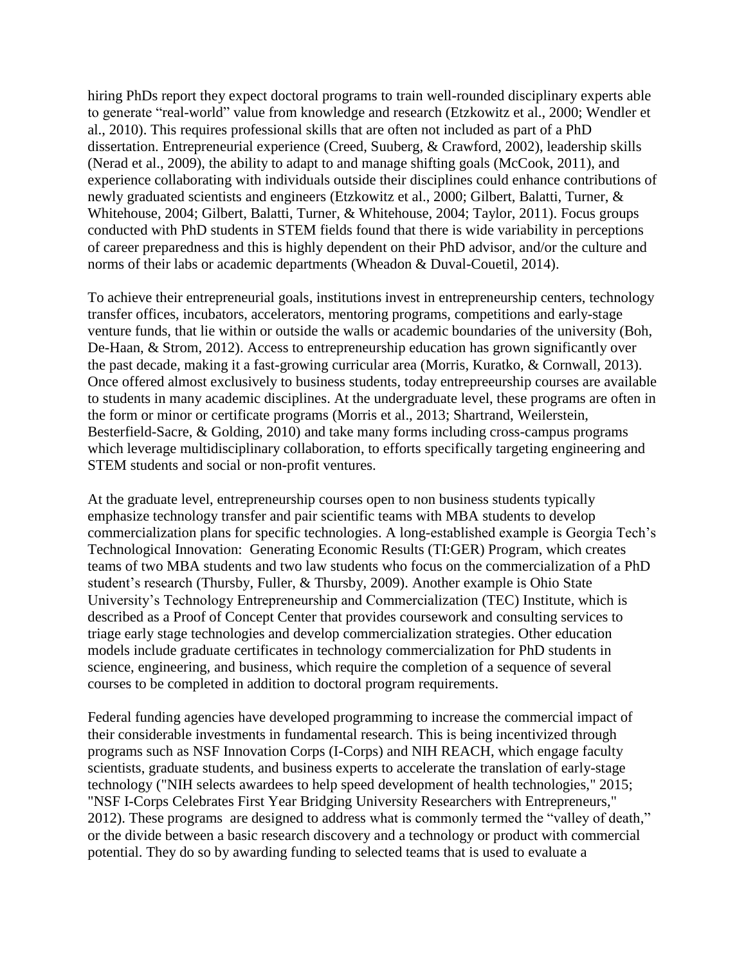hiring PhDs report they expect doctoral programs to train well-rounded disciplinary experts able to generate "real-world" value from knowledge and research (Etzkowitz et al., 2000; Wendler et al., 2010). This requires professional skills that are often not included as part of a PhD dissertation. Entrepreneurial experience (Creed, Suuberg, & Crawford, 2002), leadership skills (Nerad et al., 2009), the ability to adapt to and manage shifting goals (McCook, 2011), and experience collaborating with individuals outside their disciplines could enhance contributions of newly graduated scientists and engineers (Etzkowitz et al., 2000; Gilbert, Balatti, Turner, & Whitehouse, 2004; Gilbert, Balatti, Turner, & Whitehouse, 2004; Taylor, 2011). Focus groups conducted with PhD students in STEM fields found that there is wide variability in perceptions of career preparedness and this is highly dependent on their PhD advisor, and/or the culture and norms of their labs or academic departments (Wheadon & Duval-Couetil, 2014).

To achieve their entrepreneurial goals, institutions invest in entrepreneurship centers, technology transfer offices, incubators, accelerators, mentoring programs, competitions and early-stage venture funds, that lie within or outside the walls or academic boundaries of the university (Boh, De-Haan, & Strom, 2012). Access to entrepreneurship education has grown significantly over the past decade, making it a fast-growing curricular area (Morris, Kuratko, & Cornwall, 2013). Once offered almost exclusively to business students, today entrepreeurship courses are available to students in many academic disciplines. At the undergraduate level, these programs are often in the form or minor or certificate programs (Morris et al., 2013; Shartrand, Weilerstein, Besterfield-Sacre, & Golding, 2010) and take many forms including cross-campus programs which leverage multidisciplinary collaboration, to efforts specifically targeting engineering and STEM students and social or non-profit ventures.

At the graduate level, entrepreneurship courses open to non business students typically emphasize technology transfer and pair scientific teams with MBA students to develop commercialization plans for specific technologies. A long-established example is Georgia Tech's Technological Innovation: Generating Economic Results (TI:GER) Program, which creates teams of two MBA students and two law students who focus on the commercialization of a PhD student's research (Thursby, Fuller, & Thursby, 2009). Another example is Ohio State University's Technology Entrepreneurship and Commercialization (TEC) Institute, which is described as a Proof of Concept Center that provides coursework and consulting services to triage early stage technologies and develop commercialization strategies. Other education models include graduate certificates in technology commercialization for PhD students in science, engineering, and business, which require the completion of a sequence of several courses to be completed in addition to doctoral program requirements.

Federal funding agencies have developed programming to increase the commercial impact of their considerable investments in fundamental research. This is being incentivized through programs such as NSF Innovation Corps (I-Corps) and NIH REACH, which engage faculty scientists, graduate students, and business experts to accelerate the translation of early-stage technology ("NIH selects awardees to help speed development of health technologies," 2015; "NSF I-Corps Celebrates First Year Bridging University Researchers with Entrepreneurs," 2012). These programs are designed to address what is commonly termed the "valley of death," or the divide between a basic research discovery and a technology or product with commercial potential. They do so by awarding funding to selected teams that is used to evaluate a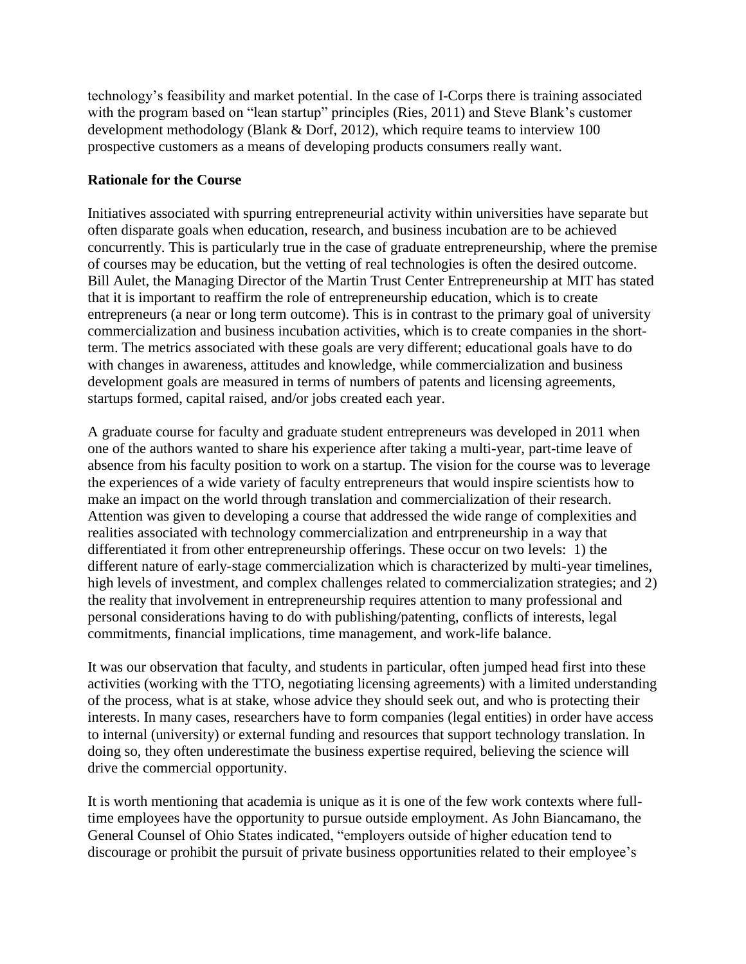technology's feasibility and market potential. In the case of I-Corps there is training associated with the program based on "lean startup" principles (Ries, 2011) and Steve Blank's customer development methodology (Blank & Dorf, 2012), which require teams to interview 100 prospective customers as a means of developing products consumers really want.

# **Rationale for the Course**

Initiatives associated with spurring entrepreneurial activity within universities have separate but often disparate goals when education, research, and business incubation are to be achieved concurrently. This is particularly true in the case of graduate entrepreneurship, where the premise of courses may be education, but the vetting of real technologies is often the desired outcome. Bill Aulet, the Managing Director of the Martin Trust Center Entrepreneurship at MIT has stated that it is important to reaffirm the role of entrepreneurship education, which is to create entrepreneurs (a near or long term outcome). This is in contrast to the primary goal of university commercialization and business incubation activities, which is to create companies in the shortterm. The metrics associated with these goals are very different; educational goals have to do with changes in awareness, attitudes and knowledge, while commercialization and business development goals are measured in terms of numbers of patents and licensing agreements, startups formed, capital raised, and/or jobs created each year.

A graduate course for faculty and graduate student entrepreneurs was developed in 2011 when one of the authors wanted to share his experience after taking a multi-year, part-time leave of absence from his faculty position to work on a startup. The vision for the course was to leverage the experiences of a wide variety of faculty entrepreneurs that would inspire scientists how to make an impact on the world through translation and commercialization of their research. Attention was given to developing a course that addressed the wide range of complexities and realities associated with technology commercialization and entrpreneurship in a way that differentiated it from other entrepreneurship offerings. These occur on two levels: 1) the different nature of early-stage commercialization which is characterized by multi-year timelines, high levels of investment, and complex challenges related to commercialization strategies; and 2) the reality that involvement in entrepreneurship requires attention to many professional and personal considerations having to do with publishing/patenting, conflicts of interests, legal commitments, financial implications, time management, and work-life balance.

It was our observation that faculty, and students in particular, often jumped head first into these activities (working with the TTO, negotiating licensing agreements) with a limited understanding of the process, what is at stake, whose advice they should seek out, and who is protecting their interests. In many cases, researchers have to form companies (legal entities) in order have access to internal (university) or external funding and resources that support technology translation. In doing so, they often underestimate the business expertise required, believing the science will drive the commercial opportunity.

It is worth mentioning that academia is unique as it is one of the few work contexts where fulltime employees have the opportunity to pursue outside employment. As John Biancamano, the General Counsel of Ohio States indicated, "employers outside of higher education tend to discourage or prohibit the pursuit of private business opportunities related to their employee's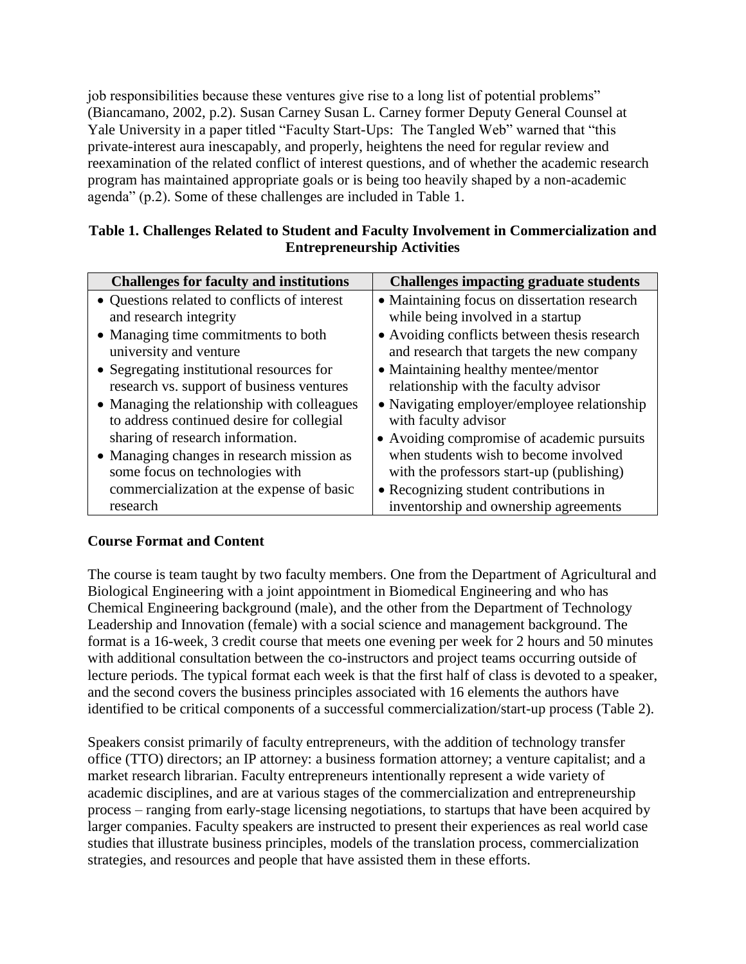job responsibilities because these ventures give rise to a long list of potential problems" (Biancamano, 2002, p.2). Susan Carney Susan L. Carney former Deputy General Counsel at Yale University in a paper titled "Faculty Start-Ups: The Tangled Web" warned that "this private-interest aura inescapably, and properly, heightens the need for regular review and reexamination of the related conflict of interest questions, and of whether the academic research program has maintained appropriate goals or is being too heavily shaped by a non-academic agenda" (p.2). Some of these challenges are included in Table 1.

| Table 1. Challenges Related to Student and Faculty Involvement in Commercialization and |
|-----------------------------------------------------------------------------------------|
| <b>Entrepreneurship Activities</b>                                                      |

| <b>Challenges for faculty and institutions</b> | <b>Challenges impacting graduate students</b> |
|------------------------------------------------|-----------------------------------------------|
| • Questions related to conflicts of interest   | • Maintaining focus on dissertation research  |
| and research integrity                         | while being involved in a startup             |
| • Managing time commitments to both            | • Avoiding conflicts between thesis research  |
| university and venture                         | and research that targets the new company     |
| • Segregating institutional resources for      | • Maintaining healthy mentee/mentor           |
| research vs. support of business ventures      | relationship with the faculty advisor         |
| • Managing the relationship with colleagues    | • Navigating employer/employee relationship   |
| to address continued desire for collegial      | with faculty advisor                          |
| sharing of research information.               | • Avoiding compromise of academic pursuits    |
| • Managing changes in research mission as      | when students wish to become involved         |
| some focus on technologies with                | with the professors start-up (publishing)     |
| commercialization at the expense of basic      | • Recognizing student contributions in        |
| research                                       | inventorship and ownership agreements         |

# **Course Format and Content**

The course is team taught by two faculty members. One from the Department of Agricultural and Biological Engineering with a joint appointment in Biomedical Engineering and who has Chemical Engineering background (male), and the other from the Department of Technology Leadership and Innovation (female) with a social science and management background. The format is a 16-week, 3 credit course that meets one evening per week for 2 hours and 50 minutes with additional consultation between the co-instructors and project teams occurring outside of lecture periods. The typical format each week is that the first half of class is devoted to a speaker, and the second covers the business principles associated with 16 elements the authors have identified to be critical components of a successful commercialization/start-up process (Table 2).

Speakers consist primarily of faculty entrepreneurs, with the addition of technology transfer office (TTO) directors; an IP attorney: a business formation attorney; a venture capitalist; and a market research librarian. Faculty entrepreneurs intentionally represent a wide variety of academic disciplines, and are at various stages of the commercialization and entrepreneurship process – ranging from early-stage licensing negotiations, to startups that have been acquired by larger companies. Faculty speakers are instructed to present their experiences as real world case studies that illustrate business principles, models of the translation process, commercialization strategies, and resources and people that have assisted them in these efforts.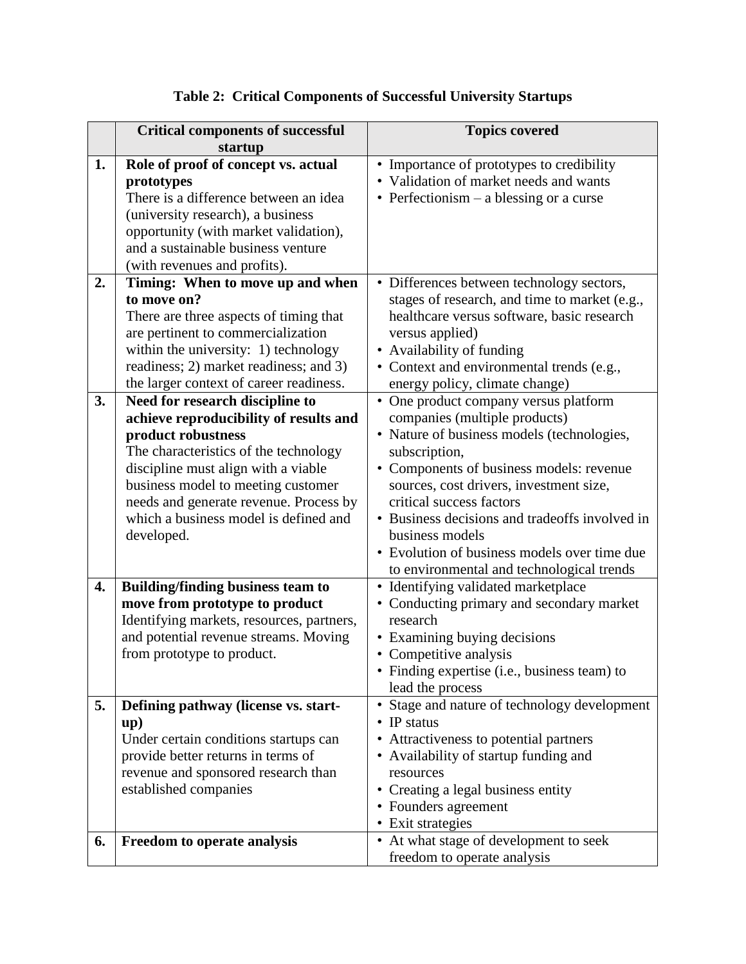| Table 2: Critical Components of Successful University Startups |  |
|----------------------------------------------------------------|--|
|                                                                |  |

|          | <b>Critical components of successful</b>                                                                                                                                                                                                                                                                                                                             | <b>Topics covered</b>                                                                                                                                                                                                                                                                                                                                               |
|----------|----------------------------------------------------------------------------------------------------------------------------------------------------------------------------------------------------------------------------------------------------------------------------------------------------------------------------------------------------------------------|---------------------------------------------------------------------------------------------------------------------------------------------------------------------------------------------------------------------------------------------------------------------------------------------------------------------------------------------------------------------|
|          | startup                                                                                                                                                                                                                                                                                                                                                              |                                                                                                                                                                                                                                                                                                                                                                     |
| 1.<br>2. | Role of proof of concept vs. actual<br>prototypes<br>There is a difference between an idea<br>(university research), a business<br>opportunity (with market validation),<br>and a sustainable business venture<br>(with revenues and profits).<br>Timing: When to move up and when                                                                                   | • Importance of prototypes to credibility<br>• Validation of market needs and wants<br>• Perfectionism $-$ a blessing or a curse<br>• Differences between technology sectors,                                                                                                                                                                                       |
| 3.       | to move on?<br>There are three aspects of timing that<br>are pertinent to commercialization<br>within the university: 1) technology<br>readiness; 2) market readiness; and 3)<br>the larger context of career readiness.<br>Need for research discipline to<br>achieve reproducibility of results and<br>product robustness<br>The characteristics of the technology | stages of research, and time to market (e.g.,<br>healthcare versus software, basic research<br>versus applied)<br>• Availability of funding<br>• Context and environmental trends (e.g.,<br>energy policy, climate change)<br>• One product company versus platform<br>companies (multiple products)<br>• Nature of business models (technologies,<br>subscription, |
|          | discipline must align with a viable<br>business model to meeting customer<br>needs and generate revenue. Process by<br>which a business model is defined and<br>developed.                                                                                                                                                                                           | • Components of business models: revenue<br>sources, cost drivers, investment size,<br>critical success factors<br>• Business decisions and tradeoffs involved in<br>business models<br>• Evolution of business models over time due<br>to environmental and technological trends                                                                                   |
| 4.       | Building/finding business team to<br>move from prototype to product<br>Identifying markets, resources, partners,<br>and potential revenue streams. Moving<br>from prototype to product.                                                                                                                                                                              | • Identifying validated marketplace<br>• Conducting primary and secondary market<br>research<br>• Examining buying decisions<br>• Competitive analysis<br>• Finding expertise (i.e., business team) to<br>lead the process                                                                                                                                          |
| 5.<br>6. | Defining pathway (license vs. start-<br>$\mathbf{u}\mathbf{p}$<br>Under certain conditions startups can<br>provide better returns in terms of<br>revenue and sponsored research than<br>established companies<br><b>Freedom to operate analysis</b>                                                                                                                  | • Stage and nature of technology development<br>$\bullet$ IP status<br>• Attractiveness to potential partners<br>• Availability of startup funding and<br>resources<br>• Creating a legal business entity<br>• Founders agreement<br>• Exit strategies<br>• At what stage of development to seek                                                                    |
|          |                                                                                                                                                                                                                                                                                                                                                                      | freedom to operate analysis                                                                                                                                                                                                                                                                                                                                         |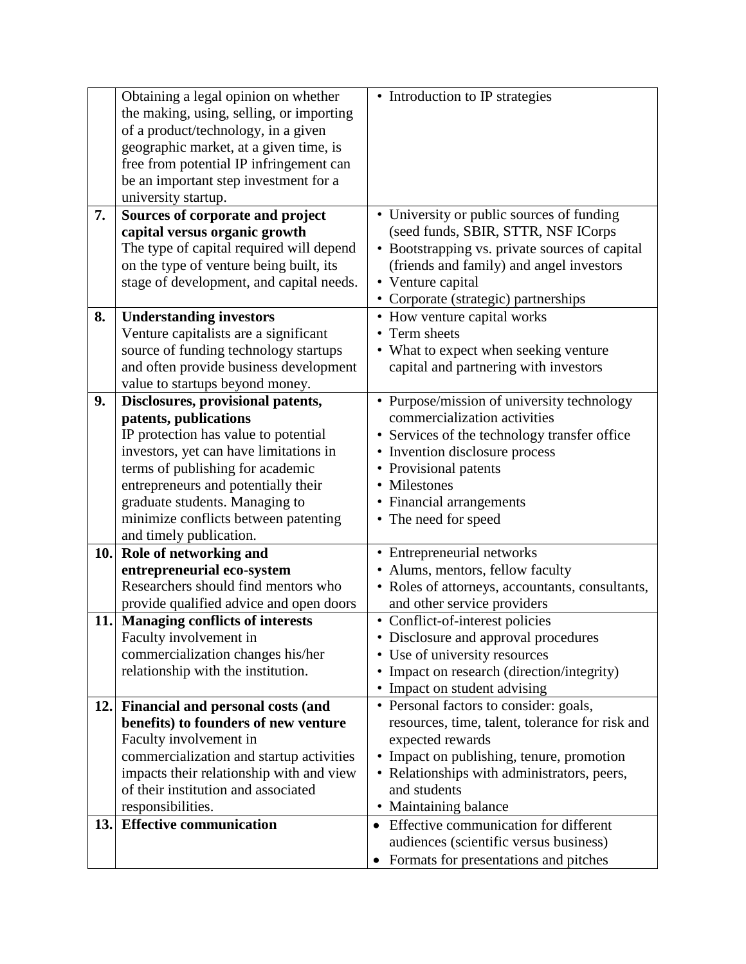|            | Obtaining a legal opinion on whether<br>the making, using, selling, or importing  | • Introduction to IP strategies                                                     |
|------------|-----------------------------------------------------------------------------------|-------------------------------------------------------------------------------------|
|            | of a product/technology, in a given                                               |                                                                                     |
|            | geographic market, at a given time, is<br>free from potential IP infringement can |                                                                                     |
|            | be an important step investment for a                                             |                                                                                     |
|            | university startup.                                                               |                                                                                     |
| 7.         | Sources of corporate and project                                                  | • University or public sources of funding                                           |
|            | capital versus organic growth                                                     | (seed funds, SBIR, STTR, NSF ICorps                                                 |
|            | The type of capital required will depend                                          | • Bootstrapping vs. private sources of capital                                      |
|            | on the type of venture being built, its                                           | (friends and family) and angel investors                                            |
|            | stage of development, and capital needs.                                          | • Venture capital                                                                   |
|            |                                                                                   | • Corporate (strategic) partnerships                                                |
| 8.         | <b>Understanding investors</b>                                                    | • How venture capital works                                                         |
|            | Venture capitalists are a significant                                             | • Term sheets                                                                       |
|            | source of funding technology startups                                             | • What to expect when seeking venture                                               |
|            | and often provide business development                                            | capital and partnering with investors                                               |
|            | value to startups beyond money.                                                   |                                                                                     |
| 9.         | Disclosures, provisional patents,                                                 | • Purpose/mission of university technology                                          |
|            | patents, publications                                                             | commercialization activities                                                        |
|            | IP protection has value to potential                                              | • Services of the technology transfer office                                        |
|            | investors, yet can have limitations in                                            | • Invention disclosure process                                                      |
|            | terms of publishing for academic                                                  | • Provisional patents                                                               |
|            | entrepreneurs and potentially their                                               | • Milestones                                                                        |
|            | graduate students. Managing to                                                    | • Financial arrangements                                                            |
|            | minimize conflicts between patenting                                              | • The need for speed                                                                |
|            | and timely publication.                                                           |                                                                                     |
| 10.        | Role of networking and                                                            | • Entrepreneurial networks                                                          |
|            | entrepreneurial eco-system<br>Researchers should find mentors who                 | • Alums, mentors, fellow faculty<br>• Roles of attorneys, accountants, consultants, |
|            | provide qualified advice and open doors                                           | and other service providers                                                         |
| <b>11.</b> | <b>Managing conflicts of interests</b>                                            | • Conflict-of-interest policies                                                     |
|            | Faculty involvement in                                                            | • Disclosure and approval procedures                                                |
|            | commercialization changes his/her                                                 | • Use of university resources                                                       |
|            | relationship with the institution.                                                | • Impact on research (direction/integrity)                                          |
|            |                                                                                   | • Impact on student advising                                                        |
| 12.1       | <b>Financial and personal costs (and</b>                                          | • Personal factors to consider: goals,                                              |
|            | benefits) to founders of new venture                                              | resources, time, talent, tolerance for risk and                                     |
|            | Faculty involvement in                                                            | expected rewards                                                                    |
|            | commercialization and startup activities                                          | • Impact on publishing, tenure, promotion                                           |
|            | impacts their relationship with and view                                          | • Relationships with administrators, peers,                                         |
|            | of their institution and associated                                               | and students                                                                        |
|            | responsibilities.                                                                 | • Maintaining balance                                                               |
| 13.        | <b>Effective communication</b>                                                    | Effective communication for different                                               |
|            |                                                                                   | audiences (scientific versus business)                                              |
|            |                                                                                   | Formats for presentations and pitches                                               |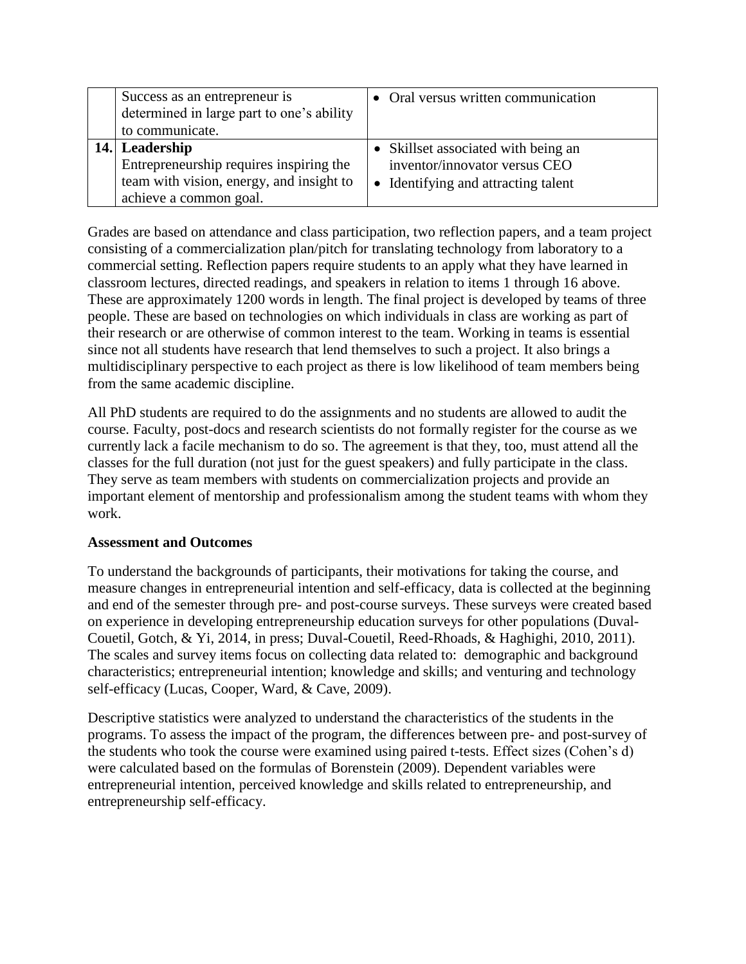| Success as an entrepreneur is<br>determined in large part to one's ability<br>to communicate.                                   | • Oral versus written communication                                                                         |
|---------------------------------------------------------------------------------------------------------------------------------|-------------------------------------------------------------------------------------------------------------|
| 14. Leadership<br>Entrepreneurship requires inspiring the<br>team with vision, energy, and insight to<br>achieve a common goal. | • Skillset associated with being an<br>inventor/innovator versus CEO<br>• Identifying and attracting talent |

Grades are based on attendance and class participation, two reflection papers, and a team project consisting of a commercialization plan/pitch for translating technology from laboratory to a commercial setting. Reflection papers require students to an apply what they have learned in classroom lectures, directed readings, and speakers in relation to items 1 through 16 above. These are approximately 1200 words in length. The final project is developed by teams of three people. These are based on technologies on which individuals in class are working as part of their research or are otherwise of common interest to the team. Working in teams is essential since not all students have research that lend themselves to such a project. It also brings a multidisciplinary perspective to each project as there is low likelihood of team members being from the same academic discipline.

All PhD students are required to do the assignments and no students are allowed to audit the course. Faculty, post-docs and research scientists do not formally register for the course as we currently lack a facile mechanism to do so. The agreement is that they, too, must attend all the classes for the full duration (not just for the guest speakers) and fully participate in the class. They serve as team members with students on commercialization projects and provide an important element of mentorship and professionalism among the student teams with whom they work.

#### **Assessment and Outcomes**

To understand the backgrounds of participants, their motivations for taking the course, and measure changes in entrepreneurial intention and self-efficacy, data is collected at the beginning and end of the semester through pre- and post-course surveys. These surveys were created based on experience in developing entrepreneurship education surveys for other populations (Duval-Couetil, Gotch, & Yi, 2014, in press; Duval-Couetil, Reed-Rhoads, & Haghighi, 2010, 2011). The scales and survey items focus on collecting data related to: demographic and background characteristics; entrepreneurial intention; knowledge and skills; and venturing and technology self-efficacy (Lucas, Cooper, Ward, & Cave, 2009).

Descriptive statistics were analyzed to understand the characteristics of the students in the programs. To assess the impact of the program, the differences between pre- and post-survey of the students who took the course were examined using paired t-tests. Effect sizes (Cohen's d) were calculated based on the formulas of Borenstein (2009). Dependent variables were entrepreneurial intention, perceived knowledge and skills related to entrepreneurship, and entrepreneurship self-efficacy.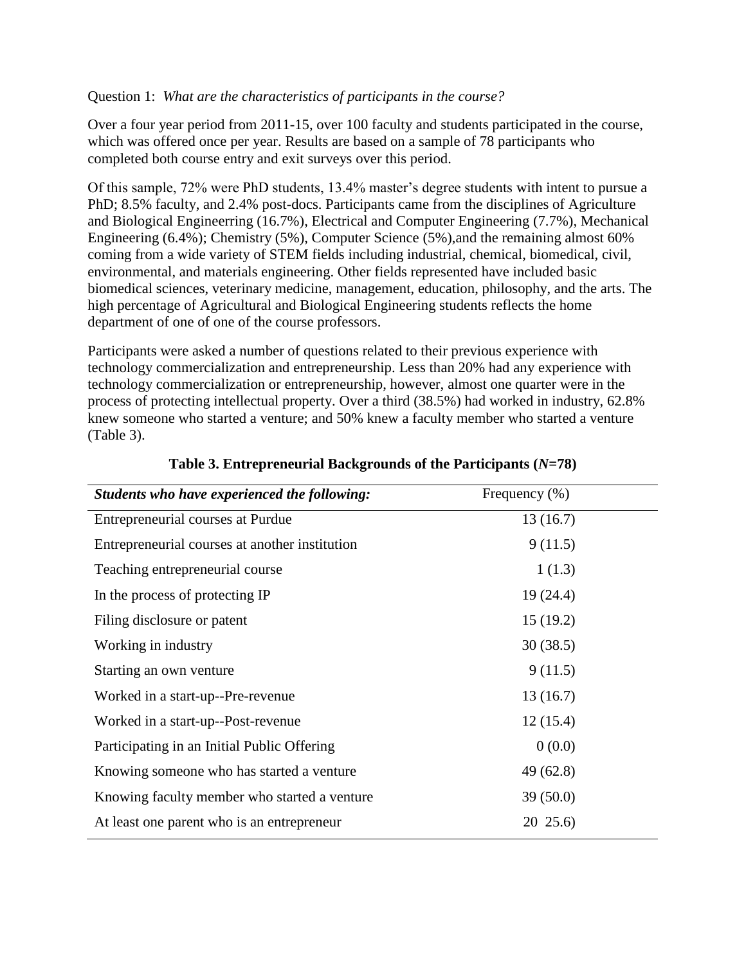#### Question 1: *What are the characteristics of participants in the course?*

Over a four year period from 2011-15, over 100 faculty and students participated in the course, which was offered once per year. Results are based on a sample of 78 participants who completed both course entry and exit surveys over this period.

Of this sample, 72% were PhD students, 13.4% master's degree students with intent to pursue a PhD; 8.5% faculty, and 2.4% post-docs. Participants came from the disciplines of Agriculture and Biological Engineerring (16.7%), Electrical and Computer Engineering (7.7%), Mechanical Engineering (6.4%); Chemistry (5%), Computer Science (5%), and the remaining almost 60% coming from a wide variety of STEM fields including industrial, chemical, biomedical, civil, environmental, and materials engineering. Other fields represented have included basic biomedical sciences, veterinary medicine, management, education, philosophy, and the arts. The high percentage of Agricultural and Biological Engineering students reflects the home department of one of one of the course professors.

Participants were asked a number of questions related to their previous experience with technology commercialization and entrepreneurship. Less than 20% had any experience with technology commercialization or entrepreneurship, however, almost one quarter were in the process of protecting intellectual property. Over a third (38.5%) had worked in industry, 62.8% knew someone who started a venture; and 50% knew a faculty member who started a venture (Table 3).

| Frequency $(\% )$ |  |
|-------------------|--|
| 13(16.7)          |  |
| 9(11.5)           |  |
| 1(1.3)            |  |
| 19 (24.4)         |  |
| 15(19.2)          |  |
| 30(38.5)          |  |
| 9(11.5)           |  |
| 13(16.7)          |  |
| 12(15.4)          |  |
| 0(0.0)            |  |
| 49 (62.8)         |  |
| 39(50.0)          |  |
| 20 25.6)          |  |
|                   |  |

### **Table 3. Entrepreneurial Backgrounds of the Participants (***N***=78)**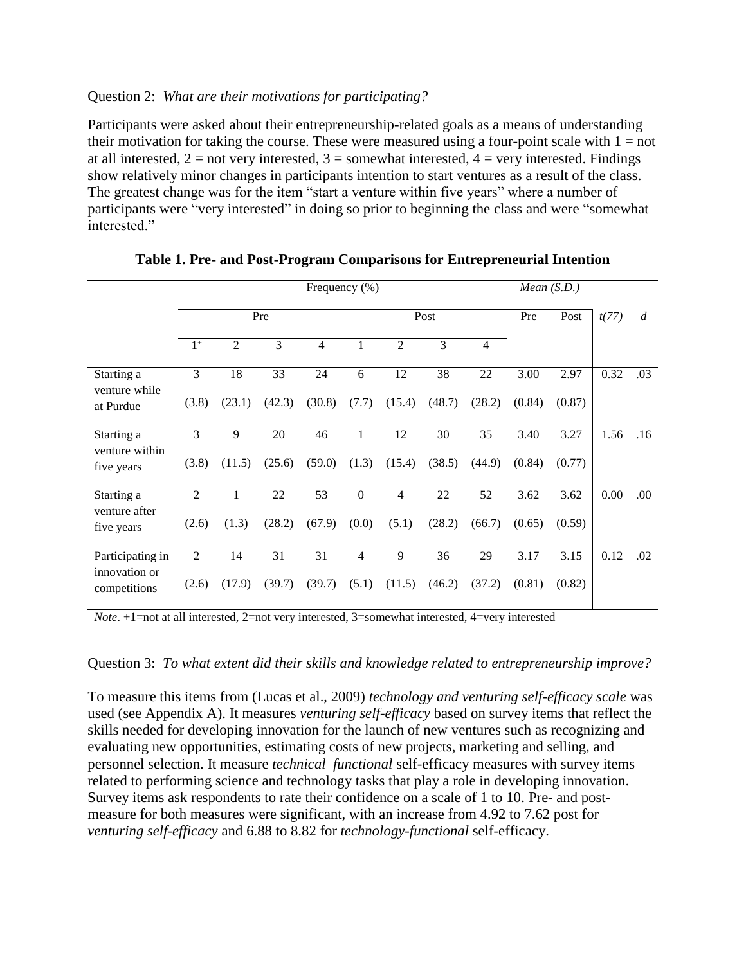#### Question 2: *What are their motivations for participating?*

Participants were asked about their entrepreneurship-related goals as a means of understanding their motivation for taking the course. These were measured using a four-point scale with  $1 = not$ at all interested,  $2 = not$  very interested,  $3 =$  somewhat interested,  $4 =$  very interested. Findings show relatively minor changes in participants intention to start ventures as a result of the class. The greatest change was for the item "start a venture within five years" where a number of participants were "very interested" in doing so prior to beginning the class and were "somewhat interested."

|                                                   | Frequency (%)  |                |        |        |                  |                |        | Mean(S.D.)     |        |        |       |      |
|---------------------------------------------------|----------------|----------------|--------|--------|------------------|----------------|--------|----------------|--------|--------|-------|------|
|                                                   | Pre            |                |        |        | Post             |                |        |                | Pre    | Post   | t(77) | d    |
|                                                   | $1^+$          | $\overline{2}$ | 3      | 4      | $\mathbf{1}$     | $\overline{2}$ | 3      | $\overline{4}$ |        |        |       |      |
| Starting a                                        | 3              | 18             | 33     | 24     | 6                | 12             | 38     | 22             | 3.00   | 2.97   | 0.32  | .03  |
| venture while<br>at Purdue                        | (3.8)          | (23.1)         | (42.3) | (30.8) | (7.7)            | (15.4)         | (48.7) | (28.2)         | (0.84) | (0.87) |       |      |
| Starting a                                        | 3              | 9              | 20     | 46     | $\mathbf{1}$     | 12             | 30     | 35             | 3.40   | 3.27   | 1.56  | .16  |
| venture within<br>five years                      | (3.8)          | (11.5)         | (25.6) | (59.0) | (1.3)            | (15.4)         | (38.5) | (44.9)         | (0.84) | (0.77) |       |      |
| Starting a                                        | $\mathfrak{2}$ | $\mathbf{1}$   | 22     | 53     | $\boldsymbol{0}$ | $\overline{4}$ | 22     | 52             | 3.62   | 3.62   | 0.00  | .00. |
| venture after<br>five years                       | (2.6)          | (1.3)          | (28.2) | (67.9) | (0.0)            | (5.1)          | (28.2) | (66.7)         | (0.65) | (0.59) |       |      |
| Participating in<br>innovation or<br>competitions | 2              | 14             | 31     | 31     | $\overline{4}$   | 9              | 36     | 29             | 3.17   | 3.15   | 0.12  | .02  |
|                                                   | (2.6)          | (17.9)         | (39.7) | (39.7) | (5.1)            | (11.5)         | (46.2) | (37.2)         | (0.81) | (0.82) |       |      |

|  |  |  |  | Table 1. Pre- and Post-Program Comparisons for Entrepreneurial Intention |  |
|--|--|--|--|--------------------------------------------------------------------------|--|
|  |  |  |  |                                                                          |  |

*Note*. +1=not at all interested, 2=not very interested, 3=somewhat interested, 4=very interested

#### Question 3: *To what extent did their skills and knowledge related to entrepreneurship improve?*

To measure this items from (Lucas et al., 2009) *technology and venturing self-efficacy scale* was used (see Appendix A). It measures *venturing self-efficacy* based on survey items that reflect the skills needed for developing innovation for the launch of new ventures such as recognizing and evaluating new opportunities, estimating costs of new projects, marketing and selling, and personnel selection. It measure *technical–functional* self-efficacy measures with survey items related to performing science and technology tasks that play a role in developing innovation. Survey items ask respondents to rate their confidence on a scale of 1 to 10. Pre- and postmeasure for both measures were significant, with an increase from 4.92 to 7.62 post for *venturing self-efficacy* and 6.88 to 8.82 for *technology-functional* self-efficacy.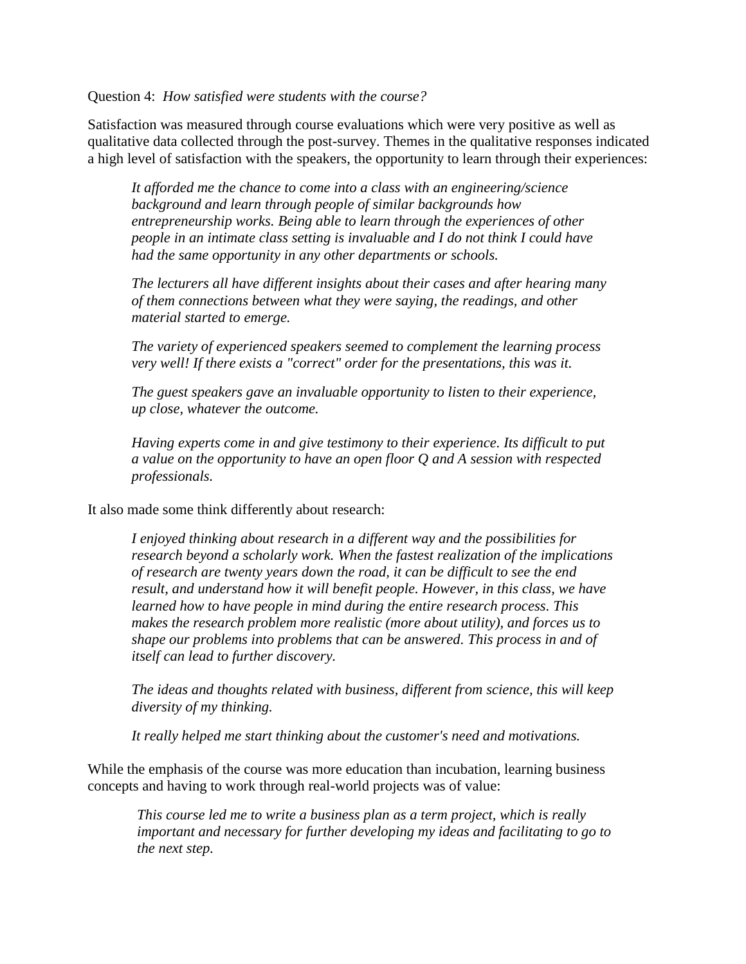Question 4: *How satisfied were students with the course?*

Satisfaction was measured through course evaluations which were very positive as well as qualitative data collected through the post-survey. Themes in the qualitative responses indicated a high level of satisfaction with the speakers, the opportunity to learn through their experiences:

*It afforded me the chance to come into a class with an engineering/science background and learn through people of similar backgrounds how entrepreneurship works. Being able to learn through the experiences of other people in an intimate class setting is invaluable and I do not think I could have had the same opportunity in any other departments or schools.*

*The lecturers all have different insights about their cases and after hearing many of them connections between what they were saying, the readings, and other material started to emerge.*

*The variety of experienced speakers seemed to complement the learning process very well! If there exists a "correct" order for the presentations, this was it.*

*The guest speakers gave an invaluable opportunity to listen to their experience, up close, whatever the outcome.*

*Having experts come in and give testimony to their experience. Its difficult to put a value on the opportunity to have an open floor Q and A session with respected professionals.*

It also made some think differently about research:

*I enjoyed thinking about research in a different way and the possibilities for research beyond a scholarly work. When the fastest realization of the implications of research are twenty years down the road, it can be difficult to see the end result, and understand how it will benefit people. However, in this class, we have learned how to have people in mind during the entire research process. This makes the research problem more realistic (more about utility), and forces us to shape our problems into problems that can be answered. This process in and of itself can lead to further discovery.*

*The ideas and thoughts related with business, different from science, this will keep diversity of my thinking.*

*It really helped me start thinking about the customer's need and motivations.*

While the emphasis of the course was more education than incubation, learning business concepts and having to work through real-world projects was of value:

*This course led me to write a business plan as a term project, which is really important and necessary for further developing my ideas and facilitating to go to the next step.*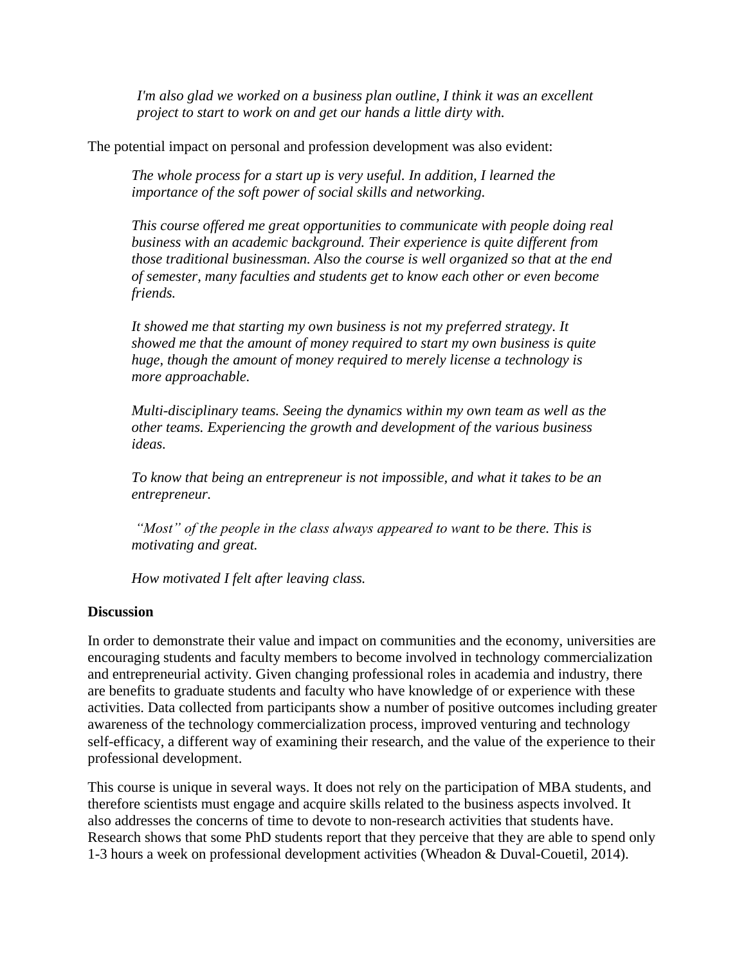*I'm also glad we worked on a business plan outline, I think it was an excellent project to start to work on and get our hands a little dirty with.*

The potential impact on personal and profession development was also evident:

*The whole process for a start up is very useful. In addition, I learned the importance of the soft power of social skills and networking.*

*This course offered me great opportunities to communicate with people doing real business with an academic background. Their experience is quite different from those traditional businessman. Also the course is well organized so that at the end of semester, many faculties and students get to know each other or even become friends.*

*It showed me that starting my own business is not my preferred strategy. It showed me that the amount of money required to start my own business is quite huge, though the amount of money required to merely license a technology is more approachable.*

*Multi-disciplinary teams. Seeing the dynamics within my own team as well as the other teams. Experiencing the growth and development of the various business ideas.*

*To know that being an entrepreneur is not impossible, and what it takes to be an entrepreneur.*

*"Most" of the people in the class always appeared to want to be there. This is motivating and great.*

*How motivated I felt after leaving class.*

#### **Discussion**

In order to demonstrate their value and impact on communities and the economy, universities are encouraging students and faculty members to become involved in technology commercialization and entrepreneurial activity. Given changing professional roles in academia and industry, there are benefits to graduate students and faculty who have knowledge of or experience with these activities. Data collected from participants show a number of positive outcomes including greater awareness of the technology commercialization process, improved venturing and technology self-efficacy, a different way of examining their research, and the value of the experience to their professional development.

This course is unique in several ways. It does not rely on the participation of MBA students, and therefore scientists must engage and acquire skills related to the business aspects involved. It also addresses the concerns of time to devote to non-research activities that students have. Research shows that some PhD students report that they perceive that they are able to spend only 1-3 hours a week on professional development activities (Wheadon & Duval-Couetil, 2014).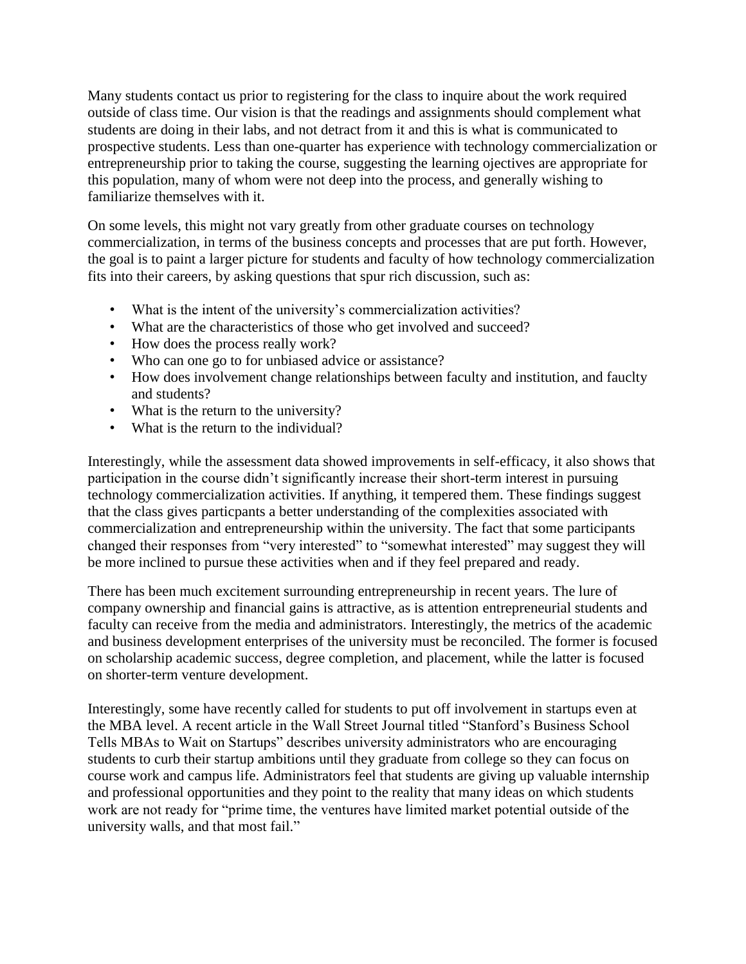Many students contact us prior to registering for the class to inquire about the work required outside of class time. Our vision is that the readings and assignments should complement what students are doing in their labs, and not detract from it and this is what is communicated to prospective students. Less than one-quarter has experience with technology commercialization or entrepreneurship prior to taking the course, suggesting the learning ojectives are appropriate for this population, many of whom were not deep into the process, and generally wishing to familiarize themselves with it.

On some levels, this might not vary greatly from other graduate courses on technology commercialization, in terms of the business concepts and processes that are put forth. However, the goal is to paint a larger picture for students and faculty of how technology commercialization fits into their careers, by asking questions that spur rich discussion, such as:

- What is the intent of the university's commercialization activities?
- What are the characteristics of those who get involved and succeed?
- How does the process really work?
- Who can one go to for unbiased advice or assistance?
- How does involvement change relationships between faculty and institution, and fauclty and students?
- What is the return to the university?
- What is the return to the individual?

Interestingly, while the assessment data showed improvements in self-efficacy, it also shows that participation in the course didn't significantly increase their short-term interest in pursuing technology commercialization activities. If anything, it tempered them. These findings suggest that the class gives particpants a better understanding of the complexities associated with commercialization and entrepreneurship within the university. The fact that some participants changed their responses from "very interested" to "somewhat interested" may suggest they will be more inclined to pursue these activities when and if they feel prepared and ready.

There has been much excitement surrounding entrepreneurship in recent years. The lure of company ownership and financial gains is attractive, as is attention entrepreneurial students and faculty can receive from the media and administrators. Interestingly, the metrics of the academic and business development enterprises of the university must be reconciled. The former is focused on scholarship academic success, degree completion, and placement, while the latter is focused on shorter-term venture development.

Interestingly, some have recently called for students to put off involvement in startups even at the MBA level. A recent article in the Wall Street Journal titled "Stanford's Business School Tells MBAs to Wait on Startups" describes university administrators who are encouraging students to curb their startup ambitions until they graduate from college so they can focus on course work and campus life. Administrators feel that students are giving up valuable internship and professional opportunities and they point to the reality that many ideas on which students work are not ready for "prime time, the ventures have limited market potential outside of the university walls, and that most fail."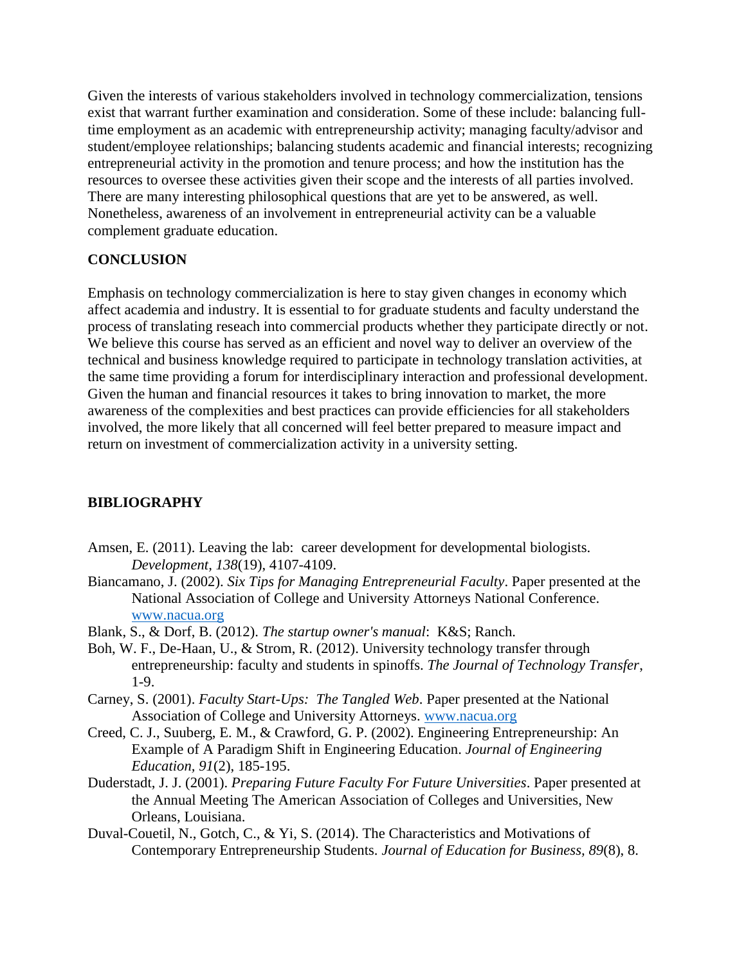Given the interests of various stakeholders involved in technology commercialization, tensions exist that warrant further examination and consideration. Some of these include: balancing fulltime employment as an academic with entrepreneurship activity; managing faculty/advisor and student/employee relationships; balancing students academic and financial interests; recognizing entrepreneurial activity in the promotion and tenure process; and how the institution has the resources to oversee these activities given their scope and the interests of all parties involved. There are many interesting philosophical questions that are yet to be answered, as well. Nonetheless, awareness of an involvement in entrepreneurial activity can be a valuable complement graduate education.

# **CONCLUSION**

Emphasis on technology commercialization is here to stay given changes in economy which affect academia and industry. It is essential to for graduate students and faculty understand the process of translating reseach into commercial products whether they participate directly or not. We believe this course has served as an efficient and novel way to deliver an overview of the technical and business knowledge required to participate in technology translation activities, at the same time providing a forum for interdisciplinary interaction and professional development. Given the human and financial resources it takes to bring innovation to market, the more awareness of the complexities and best practices can provide efficiencies for all stakeholders involved, the more likely that all concerned will feel better prepared to measure impact and return on investment of commercialization activity in a university setting.

# **BIBLIOGRAPHY**

- Amsen, E. (2011). Leaving the lab: career development for developmental biologists. *Development, 138*(19), 4107-4109.
- Biancamano, J. (2002). *Six Tips for Managing Entrepreneurial Faculty*. Paper presented at the National Association of College and University Attorneys National Conference. [www.nacua.org](http://www.nacua.org/)
- Blank, S., & Dorf, B. (2012). *The startup owner's manual*: K&S; Ranch.
- Boh, W. F., De-Haan, U., & Strom, R. (2012). University technology transfer through entrepreneurship: faculty and students in spinoffs. *The Journal of Technology Transfer*, 1-9.
- Carney, S. (2001). *Faculty Start-Ups: The Tangled Web*. Paper presented at the National Association of College and University Attorneys. [www.nacua.org](http://www.nacua.org/)
- Creed, C. J., Suuberg, E. M., & Crawford, G. P. (2002). Engineering Entrepreneurship: An Example of A Paradigm Shift in Engineering Education. *Journal of Engineering Education, 91*(2), 185-195.
- Duderstadt, J. J. (2001). *Preparing Future Faculty For Future Universities*. Paper presented at the Annual Meeting The American Association of Colleges and Universities, New Orleans, Louisiana.
- Duval-Couetil, N., Gotch, C., & Yi, S. (2014). The Characteristics and Motivations of Contemporary Entrepreneurship Students. *Journal of Education for Business, 89*(8), 8.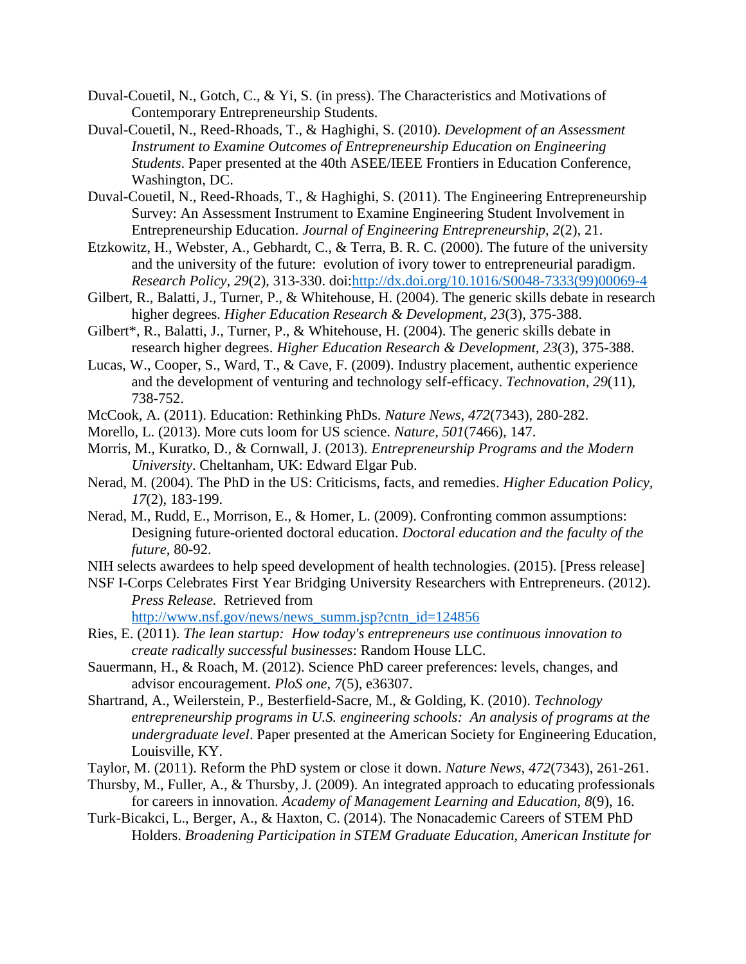- Duval-Couetil, N., Gotch, C., & Yi, S. (in press). The Characteristics and Motivations of Contemporary Entrepreneurship Students.
- Duval-Couetil, N., Reed-Rhoads, T., & Haghighi, S. (2010). *Development of an Assessment Instrument to Examine Outcomes of Entrepreneurship Education on Engineering Students*. Paper presented at the 40th ASEE/IEEE Frontiers in Education Conference, Washington, DC.
- Duval-Couetil, N., Reed-Rhoads, T., & Haghighi, S. (2011). The Engineering Entrepreneurship Survey: An Assessment Instrument to Examine Engineering Student Involvement in Entrepreneurship Education. *Journal of Engineering Entrepreneurship, 2*(2), 21.
- Etzkowitz, H., Webster, A., Gebhardt, C., & Terra, B. R. C. (2000). The future of the university and the university of the future: evolution of ivory tower to entrepreneurial paradigm. *Research Policy, 29*(2), 313-330. doi[:http://dx.doi.org/10.1016/S0048-7333\(99\)00069-4](http://dx.doi.org/10.1016/S0048-7333(99)00069-4)
- Gilbert, R., Balatti, J., Turner, P., & Whitehouse, H. (2004). The generic skills debate in research higher degrees. *Higher Education Research & Development, 23*(3), 375-388.
- Gilbert\*, R., Balatti, J., Turner, P., & Whitehouse, H. (2004). The generic skills debate in research higher degrees. *Higher Education Research & Development, 23*(3), 375-388.
- Lucas, W., Cooper, S., Ward, T., & Cave, F. (2009). Industry placement, authentic experience and the development of venturing and technology self-efficacy. *Technovation, 29*(11), 738-752.
- McCook, A. (2011). Education: Rethinking PhDs. *Nature News, 472*(7343), 280-282.
- Morello, L. (2013). More cuts loom for US science. *Nature, 501*(7466), 147.
- Morris, M., Kuratko, D., & Cornwall, J. (2013). *Entrepreneurship Programs and the Modern University*. Cheltanham, UK: Edward Elgar Pub.
- Nerad, M. (2004). The PhD in the US: Criticisms, facts, and remedies. *Higher Education Policy, 17*(2), 183-199.
- Nerad, M., Rudd, E., Morrison, E., & Homer, L. (2009). Confronting common assumptions: Designing future-oriented doctoral education. *Doctoral education and the faculty of the future*, 80-92.
- NIH selects awardees to help speed development of health technologies. (2015). [Press release]
- NSF I-Corps Celebrates First Year Bridging University Researchers with Entrepreneurs. (2012). *Press Release.* Retrieved from

[http://www.nsf.gov/news/news\\_summ.jsp?cntn\\_id=124856](http://www.nsf.gov/news/news_summ.jsp?cntn_id=124856)

- Ries, E. (2011). *The lean startup: How today's entrepreneurs use continuous innovation to create radically successful businesses*: Random House LLC.
- Sauermann, H., & Roach, M. (2012). Science PhD career preferences: levels, changes, and advisor encouragement. *PloS one, 7*(5), e36307.
- Shartrand, A., Weilerstein, P., Besterfield-Sacre, M., & Golding, K. (2010). *Technology entrepreneurship programs in U.S. engineering schools: An analysis of programs at the undergraduate level*. Paper presented at the American Society for Engineering Education, Louisville, KY.
- Taylor, M. (2011). Reform the PhD system or close it down. *Nature News, 472*(7343), 261-261.
- Thursby, M., Fuller, A., & Thursby, J. (2009). An integrated approach to educating professionals for careers in innovation. *Academy of Management Learning and Education, 8*(9), 16.
- Turk-Bicakci, L., Berger, A., & Haxton, C. (2014). The Nonacademic Careers of STEM PhD Holders. *Broadening Participation in STEM Graduate Education, American Institute for*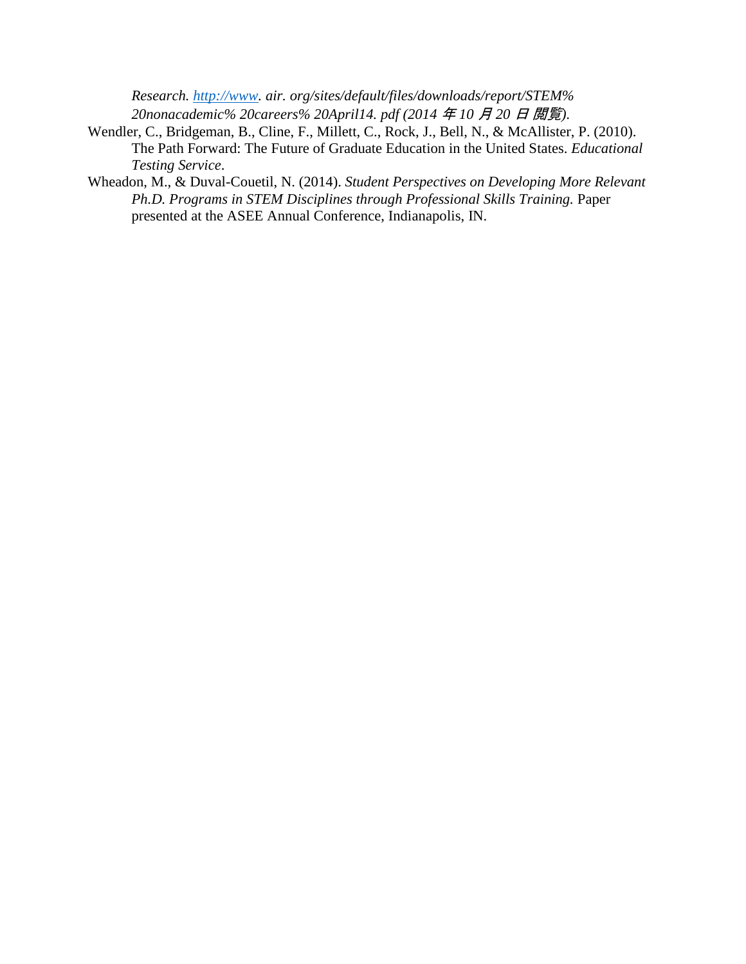*Research. [http://www.](http://www/) air. org/sites/default/files/downloads/report/STEM% 20nonacademic% 20careers% 20April14. pdf (2014* 年 *10* 月 *20* 日 閲覧*)*.

- Wendler, C., Bridgeman, B., Cline, F., Millett, C., Rock, J., Bell, N., & McAllister, P. (2010). The Path Forward: The Future of Graduate Education in the United States. *Educational Testing Service*.
- Wheadon, M., & Duval-Couetil, N. (2014). *Student Perspectives on Developing More Relevant Ph.D. Programs in STEM Disciplines through Professional Skills Training.* Paper presented at the ASEE Annual Conference, Indianapolis, IN.